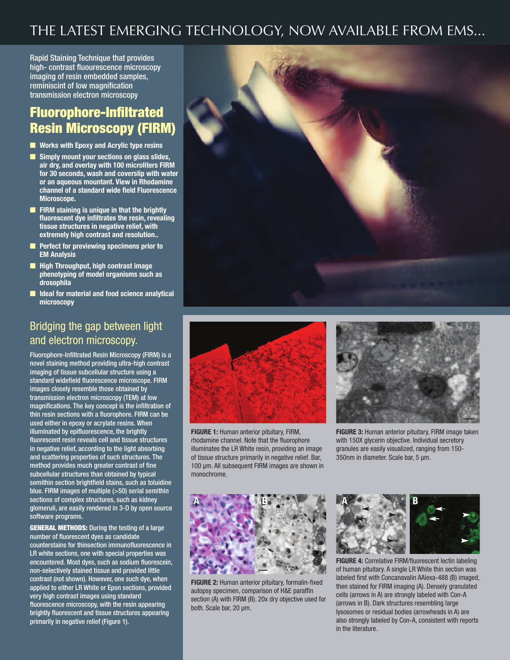## THE LATEST EMERGING TECHNOLOGY, NOW AVAILABLE FROM EMS...

Rapid Staining Technique that provides high- contrast fluourescence microscopy imaging of resin embedded samples, reminiscint of low magnification transmission electron microscopy

### **Fluorophore-Infiltrated Resin Microscopy (FIRM)**

- n **Works with Epoxy and Acrylic type resins**
- n **Simply mount your sections on glass slides, air dry, and overlay with 100 microliters FIRM for 30 seconds, wash and coverslip with water or an aqueous mountant. View in Rhodamine channel of a standard wide field Fluorescence Microscope.**
- n **FIRM staining is unique in that the brightly fluorescent dye infiltrates the resin, revealing tissue structures in negative relief, with extremely high contrast and resolution..**
- n **Perfect for previewing specimens prior to EM Analysis**
- n **High Throughput, high contrast image phenotyping of model organisms such as drosophila**
- n **Ideal for material and food science analytical microscopy**

#### Bridging the gap between light and electron microscopy.

Fluorophore-Infiltrated Resin Microscopy (FIRM) is a novel staining method providing ultra-high contrast imaging of tissue subcellular structure using a standard widefield fluorescence microscope. FIRM images closely resemble those obtained by transmission electron microscopy (TEM) at low magnifications. The key concept is the infiltration of thin resin sections with a fluorophore. FIRM can be used either in epoxy or acrylate resins. When illuminated by epifluorescence, the brightly fluorescent resin reveals cell and tissue structures in negative relief, according to the light absorbing and scattering properties of such structures. The method provides much greater contrast of fine subcellular structures than obtained by typical semithin section brightfield stains, such as toluidine blue. FIRM images of multiple (>50) serial semithin sections of complex structures, such as kidney glomeruli, are easily rendered in 3-D by open source software programs.

**GENERAL METHODS:** During the testing of a large number of fluorescent dyes as candidate counterstains for thinsection immunofluorescence in LR white sections, one with special properties was encountered. Most dyes, such as sodium fluorescein, non-selectively stained tissue and provided little contrast (not shown). However, one such dye, when applied to either LR White or Epon sections, provided very high contrast images using standard fluorescence microscopy, with the resin appearing brightly fluorescent and tissue structures appearing primarily in negative relief (Figure 1).



**FIGURE 1:** Human anterior pituitary, FIRM, rhodamine channel. Note that the fluorophore illuminates the LR White resin, providing an image of tissue structure primarily in negative relief. Bar, 100 μm. All subsequent FIRM images are shown in monochrome.



**FIGURE 3:** Human anterior pituitary, FIRM image taken with 150X glycerin objective. Individual secretory granules are easily visualized, ranging from 150- 350nm in diameter. Scale bar, 5 μm.



**FIGURE 2:** Human anterior pituitary, formalin-fixed autopsy specimen, comparison of H&E paraffin section (A) with FIRM (B). 20x dry objective used for both. Scale bar, 20 μm.



**FIGURE 4:** Correlative FIRM/fluorescent lectin labeling of human pituitary. A single LR White thin section was labeled first with Concanavalin AAlexa-488 (B) imaged, then stained for FIRM imaging (A). Densely granulated cells (arrows in A) are strongly labeled with Con-A (arrows in B). Dark structures resembling large lysosomes or residual bodies (arrowheads in A) are also strongly labeled by Con-A, consistent with reports in the literature.